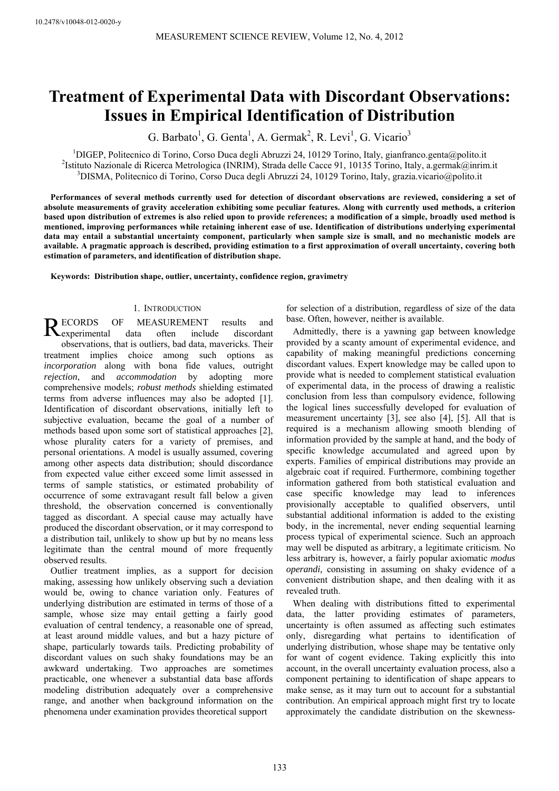# **Treatment of Experimental Data with Discordant Observations: Issues in Empirical Identification of Distribution**

G. Barbato<sup>1</sup>, G. Genta<sup>1</sup>, A. Germak<sup>2</sup>, R. Levi<sup>1</sup>, G. Vicario<sup>3</sup>

<sup>1</sup>DIGEP, Politecnico di Torino, Corso Duca degli Abruzzi 24, 10129 Torino, Italy, gianfranco.genta@polito.it <sup>2</sup>Istituto Nazionale di Biacros Metrologiae (INPIM), Strada della Cassa 01, 10125 Torino, Italy, a correal Cunr <sup>2</sup>Istituto Nazionale di Ricerca Metrologica (INRIM), Strada delle Cacce 91, 10135 Torino, Italy, a.germak@inrim.it DISMA, Politecnico di Torino, Corso Duca degli Abruzzi 24, 10129 Torino, Italy, grazia.vicario@polito.it

**Performances of several methods currently used for detection of discordant observations are reviewed, considering a set of absolute measurements of gravity acceleration exhibiting some peculiar features. Along with currently used methods, a criterion based upon distribution of extremes is also relied upon to provide references; a modification of a simple, broadly used method is mentioned, improving performances while retaining inherent ease of use. Identification of distributions underlying experimental data may entail a substantial uncertainty component, particularly when sample size is small, and no mechanistic models are available. A pragmatic approach is described, providing estimation to a first approximation of overall uncertainty, covering both estimation of parameters, and identification of distribution shape.** 

**Keywords: Distribution shape, outlier, uncertainty, confidence region, gravimetry** 

## 1. INTRODUCTION

OF MEASUREMENT results and RECORDS OF MEASUREMENT results and<br>data often include discordant observations, that is outliers, bad data, mavericks. Their treatment implies choice among such options as *incorporation* along with bona fide values, outright *rejection*, and *accommodation* by adopting more comprehensive models; *robust methods* shielding estimated terms from adverse influences may also be adopted [1]. Identification of discordant observations, initially left to subjective evaluation, became the goal of a number of methods based upon some sort of statistical approaches [2], whose plurality caters for a variety of premises, and personal orientations. A model is usually assumed, covering among other aspects data distribution; should discordance from expected value either exceed some limit assessed in terms of sample statistics, or estimated probability of occurrence of some extravagant result fall below a given threshold, the observation concerned is conventionally tagged as discordant. A special cause may actually have produced the discordant observation, or it may correspond to a distribution tail, unlikely to show up but by no means less legitimate than the central mound of more frequently observed results.

Outlier treatment implies, as a support for decision making, assessing how unlikely observing such a deviation would be, owing to chance variation only. Features of underlying distribution are estimated in terms of those of a sample, whose size may entail getting a fairly good evaluation of central tendency, a reasonable one of spread, at least around middle values, and but a hazy picture of shape, particularly towards tails. Predicting probability of discordant values on such shaky foundations may be an awkward undertaking. Two approaches are sometimes practicable, one whenever a substantial data base affords modeling distribution adequately over a comprehensive range, and another when background information on the phenomena under examination provides theoretical support

for selection of a distribution, regardless of size of the data base. Often, however, neither is available.

Admittedly, there is a yawning gap between knowledge provided by a scanty amount of experimental evidence, and capability of making meaningful predictions concerning discordant values. Expert knowledge may be called upon to provide what is needed to complement statistical evaluation of experimental data, in the process of drawing a realistic conclusion from less than compulsory evidence, following the logical lines successfully developed for evaluation of measurement uncertainty [3], see also [4], [5]. All that is required is a mechanism allowing smooth blending of information provided by the sample at hand, and the body of specific knowledge accumulated and agreed upon by experts. Families of empirical distributions may provide an algebraic coat if required. Furthermore, combining together information gathered from both statistical evaluation and case specific knowledge may lead to inferences provisionally acceptable to qualified observers, until substantial additional information is added to the existing body, in the incremental, never ending sequential learning process typical of experimental science. Such an approach may well be disputed as arbitrary, a legitimate criticism. No less arbitrary is, however, a fairly popular axiomatic *modus operandi,* consisting in assuming on shaky evidence of a convenient distribution shape, and then dealing with it as revealed truth.

When dealing with distributions fitted to experimental data, the latter providing estimates of parameters, uncertainty is often assumed as affecting such estimates only, disregarding what pertains to identification of underlying distribution, whose shape may be tentative only for want of cogent evidence. Taking explicitly this into account, in the overall uncertainty evaluation process, also a component pertaining to identification of shape appears to make sense, as it may turn out to account for a substantial contribution. An empirical approach might first try to locate approximately the candidate distribution on the skewness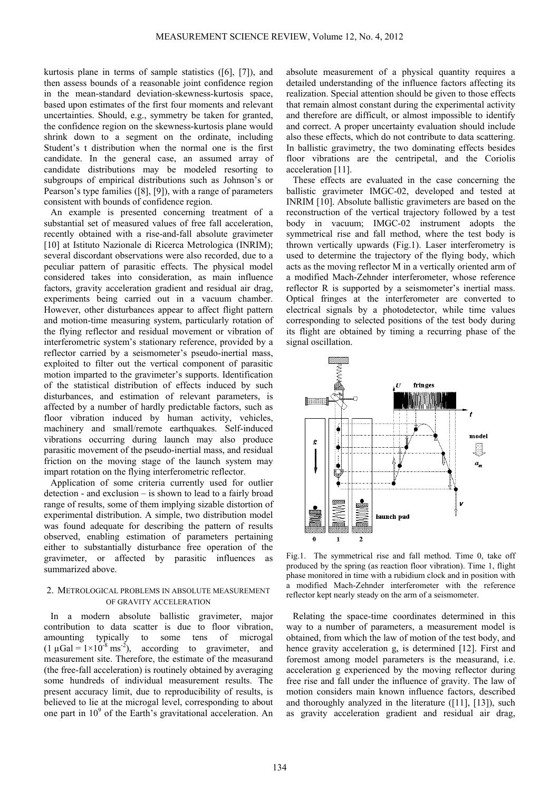kurtosis plane in terms of sample statistics ([6], [7]), and then assess bounds of a reasonable joint confidence region in the mean-standard deviation-skewness-kurtosis space, based upon estimates of the first four moments and relevant uncertainties. Should, e.g., symmetry be taken for granted, the confidence region on the skewness-kurtosis plane would shrink down to a segment on the ordinate, including Student's t distribution when the normal one is the first candidate. In the general case, an assumed array of candidate distributions may be modeled resorting to subgroups of empirical distributions such as Johnson's or Pearson's type families ([8], [9]), with a range of parameters consistent with bounds of confidence region.

An example is presented concerning treatment of a substantial set of measured values of free fall acceleration, recently obtained with a rise-and-fall absolute gravimeter [10] at Istituto Nazionale di Ricerca Metrologica (INRIM); several discordant observations were also recorded, due to a peculiar pattern of parasitic effects. The physical model considered takes into consideration, as main influence factors, gravity acceleration gradient and residual air drag, experiments being carried out in a vacuum chamber. However, other disturbances appear to affect flight pattern and motion-time measuring system, particularly rotation of the flying reflector and residual movement or vibration of interferometric system's stationary reference, provided by a reflector carried by a seismometer's pseudo-inertial mass, exploited to filter out the vertical component of parasitic motion imparted to the gravimeter's supports. Identification of the statistical distribution of effects induced by such disturbances, and estimation of relevant parameters, is affected by a number of hardly predictable factors, such as floor vibration induced by human activity, vehicles, machinery and small/remote earthquakes. Self-induced vibrations occurring during launch may also produce parasitic movement of the pseudo-inertial mass, and residual friction on the moving stage of the launch system may impart rotation on the flying interferometric reflector.

Application of some criteria currently used for outlier detection - and exclusion – is shown to lead to a fairly broad range of results, some of them implying sizable distortion of experimental distribution. A simple, two distribution model was found adequate for describing the pattern of results observed, enabling estimation of parameters pertaining either to substantially disturbance free operation of the gravimeter, or affected by parasitic influences as summarized above.

# 2. METROLOGICAL PROBLEMS IN ABSOLUTE MEASUREMENT OF GRAVITY ACCELERATION

In a modern absolute ballistic gravimeter, major contribution to data scatter is due to floor vibration, amounting typically to some tens of microgal  $(1 \mu Gal = 1 \times 10^{-8} \text{ ms}^{-2})$ , according to gravimeter, and measurement site. Therefore, the estimate of the measurand (the free-fall acceleration) is routinely obtained by averaging some hundreds of individual measurement results. The present accuracy limit, due to reproducibility of results, is believed to lie at the microgal level, corresponding to about one part in 10<sup>9</sup> of the Earth's gravitational acceleration. An absolute measurement of a physical quantity requires a detailed understanding of the influence factors affecting its realization. Special attention should be given to those effects that remain almost constant during the experimental activity and therefore are difficult, or almost impossible to identify and correct. A proper uncertainty evaluation should include also these effects, which do not contribute to data scattering. In ballistic gravimetry, the two dominating effects besides floor vibrations are the centripetal, and the Coriolis acceleration [11].

These effects are evaluated in the case concerning the ballistic gravimeter IMGC-02, developed and tested at INRIM [10]. Absolute ballistic gravimeters are based on the reconstruction of the vertical trajectory followed by a test body in vacuum; IMGC-02 instrument adopts the symmetrical rise and fall method, where the test body is thrown vertically upwards (Fig.1). Laser interferometry is used to determine the trajectory of the flying body, which acts as the moving reflector M in a vertically oriented arm of a modified Mach-Zehnder interferometer, whose reference reflector R is supported by a seismometer's inertial mass. Optical fringes at the interferometer are converted to electrical signals by a photodetector, while time values corresponding to selected positions of the test body during its flight are obtained by timing a recurring phase of the signal oscillation.



Fig.1. The symmetrical rise and fall method. Time 0, take off produced by the spring (as reaction floor vibration). Time 1, flight phase monitored in time with a rubidium clock and in position with a modified Mach-Zehnder interferometer with the reference reflector kept nearly steady on the arm of a seismometer.

Relating the space-time coordinates determined in this way to a number of parameters, a measurement model is obtained, from which the law of motion of the test body, and hence gravity acceleration g, is determined [12]. First and foremost among model parameters is the measurand, i.e. acceleration g experienced by the moving reflector during free rise and fall under the influence of gravity. The law of motion considers main known influence factors, described and thoroughly analyzed in the literature ([11], [13]), such as gravity acceleration gradient and residual air drag,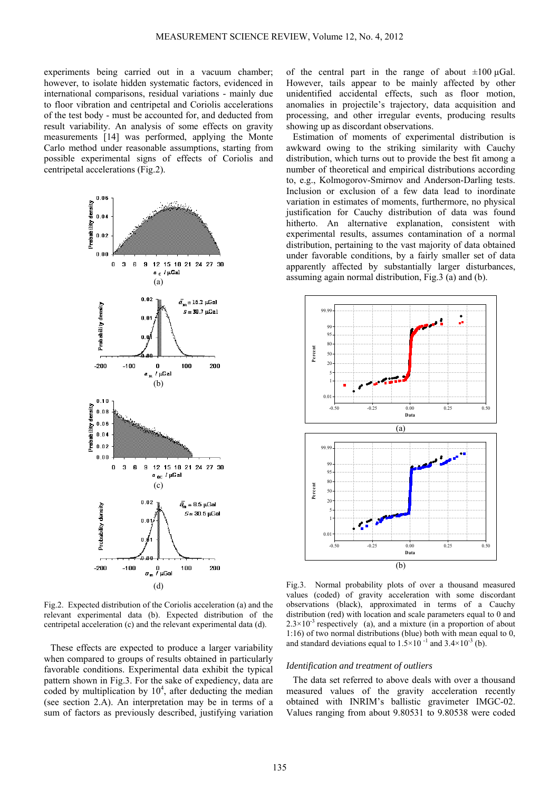experiments being carried out in a vacuum chamber; however, to isolate hidden systematic factors, evidenced in international comparisons, residual variations - mainly due to floor vibration and centripetal and Coriolis accelerations of the test body - must be accounted for, and deducted from result variability. An analysis of some effects on gravity measurements [14] was performed, applying the Monte Carlo method under reasonable assumptions, starting from possible experimental signs of effects of Coriolis and centripetal accelerations (Fig.2).



Fig.2. Expected distribution of the Coriolis acceleration (a) and the relevant experimental data (b). Expected distribution of the centripetal acceleration (c) and the relevant experimental data (d).

These effects are expected to produce a larger variability when compared to groups of results obtained in particularly favorable conditions. Experimental data exhibit the typical pattern shown in Fig.3. For the sake of expediency, data are coded by multiplication by  $10<sup>4</sup>$ , after deducting the median (see section 2.A). An interpretation may be in terms of a sum of factors as previously described, justifying variation

of the central part in the range of about  $\pm 100 \mu$ Gal. However, tails appear to be mainly affected by other unidentified accidental effects, such as floor motion, anomalies in projectile's trajectory, data acquisition and processing, and other irregular events, producing results showing up as discordant observations.

Estimation of moments of experimental distribution is awkward owing to the striking similarity with Cauchy distribution, which turns out to provide the best fit among a number of theoretical and empirical distributions according to, e.g., Kolmogorov-Smirnov and Anderson-Darling tests. Inclusion or exclusion of a few data lead to inordinate variation in estimates of moments, furthermore, no physical justification for Cauchy distribution of data was found hitherto. An alternative explanation, consistent with experimental results, assumes contamination of a normal distribution, pertaining to the vast majority of data obtained under favorable conditions, by a fairly smaller set of data apparently affected by substantially larger disturbances, assuming again normal distribution, Fig.3 (a) and (b).



Fig.3. Normal probability plots of over a thousand measured values (coded) of gravity acceleration with some discordant observations (black), approximated in terms of a Cauchy distribution (red) with location and scale parameters equal to 0 and  $2.3 \times 10^{-3}$  respectively (a), and a mixture (in a proportion of about 1:16) of two normal distributions (blue) both with mean equal to 0, and standard deviations equal to  $1.5 \times 10^{-1}$  and  $3.4 \times 10^{-3}$  (b).

## *Identification and treatment of outliers*

The data set referred to above deals with over a thousand measured values of the gravity acceleration recently obtained with INRIM's ballistic gravimeter IMGC-02. Values ranging from about 9.80531 to 9.80538 were coded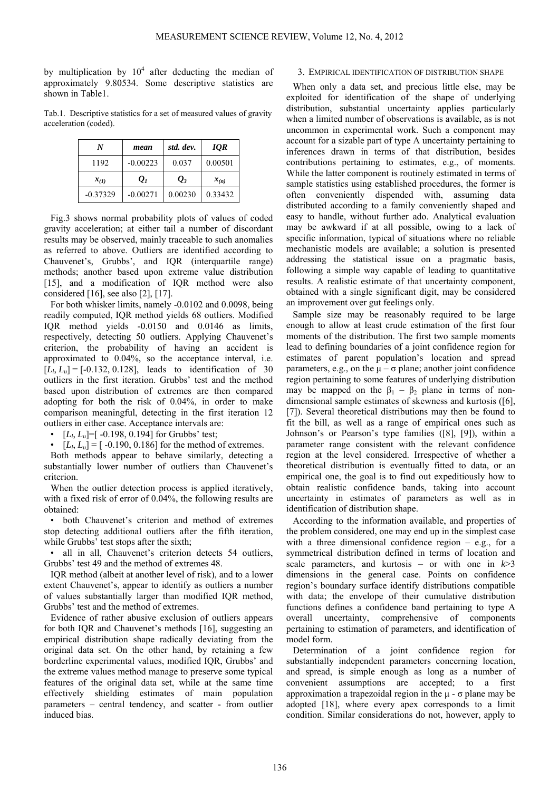by multiplication by  $10^4$  after deducting the median of approximately 9.80534. Some descriptive statistics are shown in Table<sub>1</sub>.

Tab.1. Descriptive statistics for a set of measured values of gravity acceleration (coded).

| N          | mean                              | std. dev.       | <b>IOR</b> |
|------------|-----------------------------------|-----------------|------------|
| 1192       | $-0.00223$                        | 0.037           | 0.00501    |
| $x_{(1)}$  | $\varrho_{\scriptscriptstyle{I}}$ | $\mathcal{Q}_3$ | $x_{(n)}$  |
| $-0.37329$ | $-0.00271$                        | 0.00230         | 0.33432    |

Fig.3 shows normal probability plots of values of coded gravity acceleration; at either tail a number of discordant results may be observed, mainly traceable to such anomalies as referred to above. Outliers are identified according to Chauvenet's, Grubbs', and IQR (interquartile range) methods; another based upon extreme value distribution [15], and a modification of IQR method were also considered [16], see also [2], [17].

For both whisker limits, namely -0.0102 and 0.0098, being readily computed, IQR method yields 68 outliers. Modified IQR method yields -0.0150 and 0.0146 as limits, respectively, detecting 50 outliers. Applying Chauvenet's criterion, the probability of having an accident is approximated to 0.04%, so the acceptance interval, i.e.  $[L_{l}, L_{u}] = [-0.132, 0.128]$ , leads to identification of 30 outliers in the first iteration. Grubbs' test and the method based upon distribution of extremes are then compared adopting for both the risk of 0.04%, in order to make comparison meaningful, detecting in the first iteration 12 outliers in either case. Acceptance intervals are:

•  $[L_l, L_u] = [-0.198, 0.194]$  for Grubbs' test;

•  $[L_l, L_u] = [-0.190, 0.186]$  for the method of extremes.

Both methods appear to behave similarly, detecting a substantially lower number of outliers than Chauvenet's criterion.

When the outlier detection process is applied iteratively, with a fixed risk of error of 0.04%, the following results are obtained:

• both Chauvenet's criterion and method of extremes stop detecting additional outliers after the fifth iteration, while Grubbs' test stops after the sixth;

• all in all, Chauvenet's criterion detects 54 outliers, Grubbs' test 49 and the method of extremes 48.

IQR method (albeit at another level of risk), and to a lower extent Chauvenet's, appear to identify as outliers a number of values substantially larger than modified IQR method, Grubbs' test and the method of extremes.

Evidence of rather abusive exclusion of outliers appears for both IQR and Chauvenet's methods [16], suggesting an empirical distribution shape radically deviating from the original data set. On the other hand, by retaining a few borderline experimental values, modified IQR, Grubbs' and the extreme values method manage to preserve some typical features of the original data set, while at the same time effectively shielding estimates of main population parameters – central tendency, and scatter - from outlier induced bias.

## 3. EMPIRICAL IDENTIFICATION OF DISTRIBUTION SHAPE

When only a data set, and precious little else, may be exploited for identification of the shape of underlying distribution, substantial uncertainty applies particularly when a limited number of observations is available, as is not uncommon in experimental work. Such a component may account for a sizable part of type A uncertainty pertaining to inferences drawn in terms of that distribution, besides contributions pertaining to estimates, e.g., of moments. While the latter component is routinely estimated in terms of sample statistics using established procedures, the former is often conveniently dispended with, assuming data distributed according to a family conveniently shaped and easy to handle, without further ado. Analytical evaluation may be awkward if at all possible, owing to a lack of specific information, typical of situations where no reliable mechanistic models are available; a solution is presented addressing the statistical issue on a pragmatic basis, following a simple way capable of leading to quantitative results. A realistic estimate of that uncertainty component, obtained with a single significant digit, may be considered an improvement over gut feelings only.

Sample size may be reasonably required to be large enough to allow at least crude estimation of the first four moments of the distribution. The first two sample moments lead to defining boundaries of a joint confidence region for estimates of parent population's location and spread parameters, e.g., on the  $\mu - \sigma$  plane; another joint confidence region pertaining to some features of underlying distribution may be mapped on the  $\beta_1 - \beta_2$  plane in terms of nondimensional sample estimates of skewness and kurtosis ([6], [7]). Several theoretical distributions may then be found to fit the bill, as well as a range of empirical ones such as Johnson's or Pearson's type families ([8], [9]), within a parameter range consistent with the relevant confidence region at the level considered. Irrespective of whether a theoretical distribution is eventually fitted to data, or an empirical one, the goal is to find out expeditiously how to obtain realistic confidence bands, taking into account uncertainty in estimates of parameters as well as in identification of distribution shape.

According to the information available, and properties of the problem considered, one may end up in the simplest case with a three dimensional confidence region – e.g., for a symmetrical distribution defined in terms of location and scale parameters, and kurtosis – or with one in  $k > 3$ dimensions in the general case. Points on confidence region's boundary surface identify distributions compatible with data; the envelope of their cumulative distribution functions defines a confidence band pertaining to type A overall uncertainty, comprehensive of components pertaining to estimation of parameters, and identification of model form.

Determination of a joint confidence region for substantially independent parameters concerning location, and spread, is simple enough as long as a number of convenient assumptions are accepted; to a first approximation a trapezoidal region in the μ - σ plane may be adopted [18], where every apex corresponds to a limit condition. Similar considerations do not, however, apply to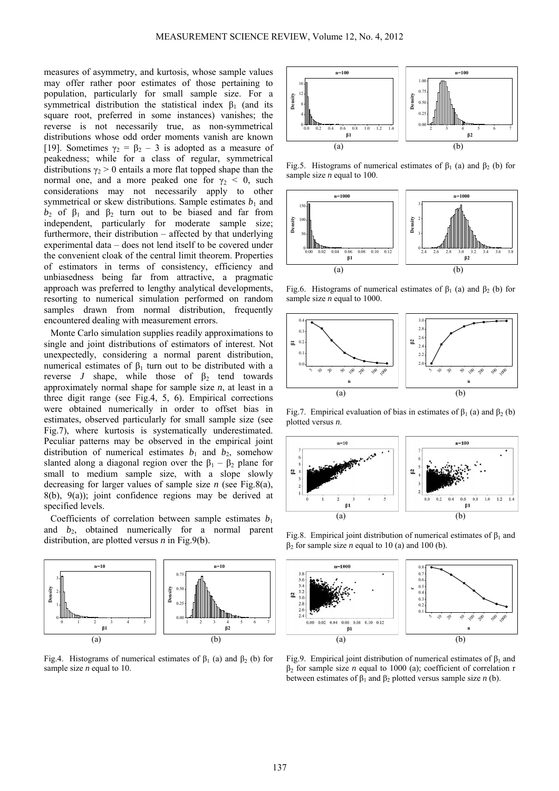measures of asymmetry, and kurtosis, whose sample values may offer rather poor estimates of those pertaining to population, particularly for small sample size. For a symmetrical distribution the statistical index  $β_1$  (and its square root, preferred in some instances) vanishes; the reverse is not necessarily true, as non-symmetrical distributions whose odd order moments vanish are known [19]. Sometimes  $\gamma_2 = \beta_2 - 3$  is adopted as a measure of peakedness; while for a class of regular, symmetrical distributions  $\gamma_2 > 0$  entails a more flat topped shape than the normal one, and a more peaked one for  $\gamma_2 < 0$ , such considerations may not necessarily apply to other symmetrical or skew distributions. Sample estimates  $b_1$  and  $b_2$  of β<sub>1</sub> and β<sub>2</sub> turn out to be biased and far from independent, particularly for moderate sample size; furthermore, their distribution – affected by that underlying experimental data – does not lend itself to be covered under the convenient cloak of the central limit theorem. Properties of estimators in terms of consistency, efficiency and unbiasedness being far from attractive, a pragmatic approach was preferred to lengthy analytical developments, resorting to numerical simulation performed on random samples drawn from normal distribution, frequently encountered dealing with measurement errors.

Monte Carlo simulation supplies readily approximations to single and joint distributions of estimators of interest. Not unexpectedly, considering a normal parent distribution, numerical estimates of  $β_1$  turn out to be distributed with a reverse *J* shape, while those of  $\beta$ <sub>2</sub> tend towards approximately normal shape for sample size *n*, at least in a three digit range (see Fig.4, 5, 6). Empirical corrections were obtained numerically in order to offset bias in estimates, observed particularly for small sample size (see Fig.7), where kurtosis is systematically underestimated. Peculiar patterns may be observed in the empirical joint distribution of numerical estimates  $b_1$  and  $b_2$ , somehow slanted along a diagonal region over the  $\beta_1 - \beta_2$  plane for small to medium sample size, with a slope slowly decreasing for larger values of sample size *n* (see Fig.8(a), 8(b), 9(a)); joint confidence regions may be derived at specified levels.

Coefficients of correlation between sample estimates  $b_1$ and  $b_2$ , obtained numerically for a normal parent distribution, are plotted versus *n* in Fig.9(b).



Fig.4. Histograms of numerical estimates of  $\beta_1$  (a) and  $\beta_2$  (b) for sample size *n* equal to 10.



Fig.5. Histograms of numerical estimates of  $\beta_1$  (a) and  $\beta_2$  (b) for sample size *n* equal to 100.



Fig.6. Histograms of numerical estimates of  $\beta_1$  (a) and  $\beta_2$  (b) for sample size *n* equal to 1000.



Fig.7. Empirical evaluation of bias in estimates of  $\beta_1$  (a) and  $\beta_2$  (b) plotted versus *n*.



Fig.8. Empirical joint distribution of numerical estimates of  $\beta_1$  and  $β<sub>2</sub>$  for sample size *n* equal to 10 (a) and 100 (b).



Fig.9. Empirical joint distribution of numerical estimates of  $β_1$  and  $β<sub>2</sub>$  for sample size *n* equal to 1000 (a); coefficient of correlation r between estimates of  $\beta_1$  and  $\beta_2$  plotted versus sample size *n* (b).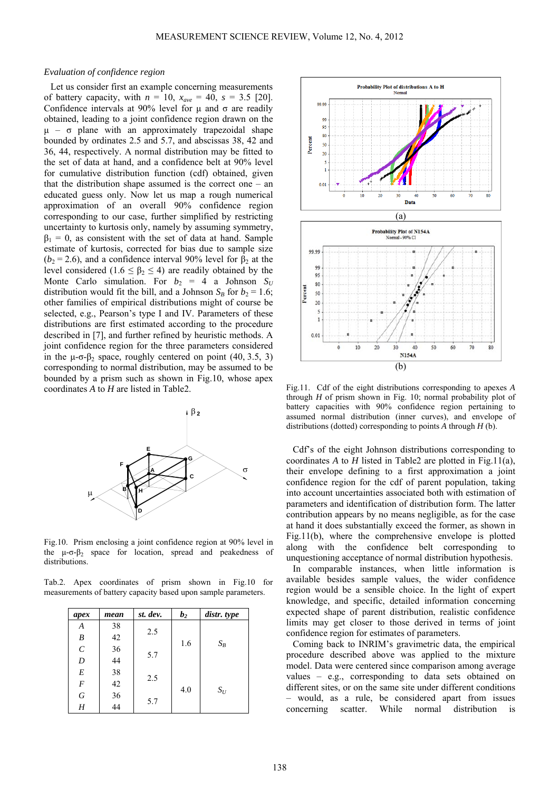#### *Evaluation of confidence region*

Let us consider first an example concerning measurements of battery capacity, with  $n = 10$ ,  $x_{ave} = 40$ ,  $s = 3.5$  [20]. Confidence intervals at 90% level for μ and σ are readily obtained, leading to a joint confidence region drawn on the  $\mu$  –  $\sigma$  plane with an approximately trapezoidal shape bounded by ordinates 2.5 and 5.7, and abscissas 38, 42 and 36, 44, respectively. A normal distribution may be fitted to the set of data at hand, and a confidence belt at 90% level for cumulative distribution function (cdf) obtained, given that the distribution shape assumed is the correct one – an educated guess only. Now let us map a rough numerical approximation of an overall 90% confidence region corresponding to our case, further simplified by restricting uncertainty to kurtosis only, namely by assuming symmetry,  $\beta_1 = 0$ , as consistent with the set of data at hand. Sample estimate of kurtosis, corrected for bias due to sample size  $(b_2 = 2.6)$ , and a confidence interval 90% level for  $\beta_2$  at the level considered (1.6  $\leq \beta_2 \leq 4$ ) are readily obtained by the Monte Carlo simulation. For  $b_2 = 4$  a Johnson  $S_U$ distribution would fit the bill, and a Johnson  $S_B$  for  $b_2 = 1.6$ ; other families of empirical distributions might of course be selected, e.g., Pearson's type I and IV. Parameters of these distributions are first estimated according to the procedure described in [7], and further refined by heuristic methods. A joint confidence region for the three parameters considered in the  $\mu$ -σ- $\beta_2$  space, roughly centered on point (40, 3.5, 3) corresponding to normal distribution, may be assumed to be bounded by a prism such as shown in Fig.10, whose apex coordinates *A* to *H* are listed in Table2.



Fig.10. Prism enclosing a joint confidence region at 90% level in the  $\mu$ -σ- $\beta$ <sub>2</sub> space for location, spread and peakedness of distributions.

Tab.2. Apex coordinates of prism shown in Fig.10 for measurements of battery capacity based upon sample parameters.

| apex                  | mean | st. dev. | b <sub>2</sub> | distr. type |
|-----------------------|------|----------|----------------|-------------|
| A                     | 38   | 2.5      |                |             |
| B                     | 42   |          | 1.6            | $S_B$       |
| $\mathcal{C}_{0}^{0}$ | 36   | 5.7      |                |             |
| D                     | 44   |          |                |             |
| E                     | 38   |          | 4.0            | $S_U$       |
| $\overline{F}$        | 42   | 2.5      |                |             |
| G                     | 36   | 5.7      |                |             |
| Η                     | 44   |          |                |             |



Fig.11. Cdf of the eight distributions corresponding to apexes *A* through *H* of prism shown in Fig. 10; normal probability plot of battery capacities with 90% confidence region pertaining to assumed normal distribution (inner curves), and envelope of distributions (dotted) corresponding to points *A* through *H* (b).

Cdf's of the eight Johnson distributions corresponding to coordinates *A* to *H* listed in Table2 are plotted in Fig.11(a), their envelope defining to a first approximation a joint confidence region for the cdf of parent population, taking into account uncertainties associated both with estimation of parameters and identification of distribution form. The latter contribution appears by no means negligible, as for the case at hand it does substantially exceed the former, as shown in Fig.11(b), where the comprehensive envelope is plotted along with the confidence belt corresponding to unquestioning acceptance of normal distribution hypothesis.

In comparable instances, when little information is available besides sample values, the wider confidence region would be a sensible choice. In the light of expert knowledge, and specific, detailed information concerning expected shape of parent distribution, realistic confidence limits may get closer to those derived in terms of joint confidence region for estimates of parameters.

Coming back to INRIM's gravimetric data, the empirical procedure described above was applied to the mixture model. Data were centered since comparison among average values – e.g., corresponding to data sets obtained on different sites, or on the same site under different conditions – would, as a rule, be considered apart from issues concerning scatter. While normal distribution is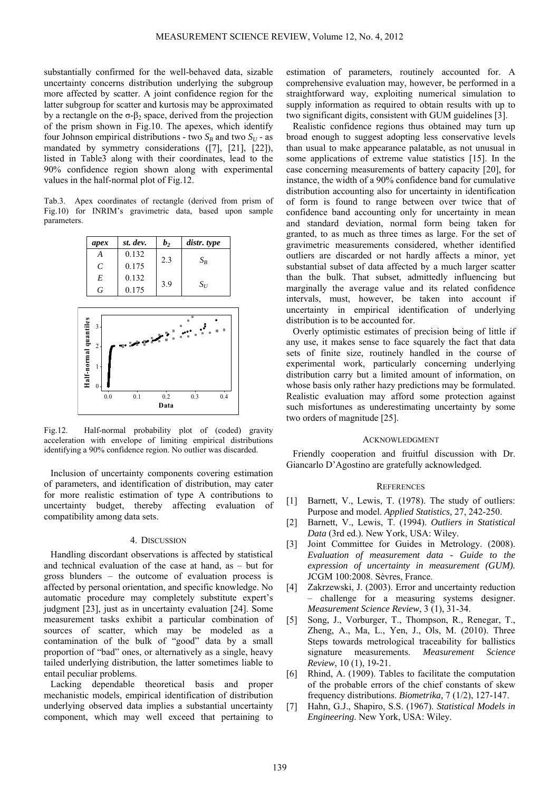substantially confirmed for the well-behaved data, sizable uncertainty concerns distribution underlying the subgroup more affected by scatter. A joint confidence region for the latter subgroup for scatter and kurtosis may be approximated by a rectangle on the σ- $β_2$  space, derived from the projection of the prism shown in Fig.10. The apexes, which identify four Johnson empirical distributions - two  $S_B$  and two  $S_U$  - as mandated by symmetry considerations ([7], [21], [22]), listed in Table3 along with their coordinates, lead to the 90% confidence region shown along with experimental values in the half-normal plot of Fig.12.

Tab.3. Apex coordinates of rectangle (derived from prism of Fig.10) for INRIM's gravimetric data, based upon sample parameters.



Fig.12. Half-normal probability plot of (coded) gravity acceleration with envelope of limiting empirical distributions identifying a 90% confidence region. No outlier was discarded.

Inclusion of uncertainty components covering estimation of parameters, and identification of distribution, may cater for more realistic estimation of type A contributions to uncertainty budget, thereby affecting evaluation of compatibility among data sets.

#### 4. DISCUSSION

Handling discordant observations is affected by statistical and technical evaluation of the case at hand, as – but for gross blunders – the outcome of evaluation process is affected by personal orientation, and specific knowledge. No automatic procedure may completely substitute expert's judgment [23], just as in uncertainty evaluation [24]. Some measurement tasks exhibit a particular combination of sources of scatter, which may be modeled as a contamination of the bulk of "good" data by a small proportion of "bad" ones, or alternatively as a single, heavy tailed underlying distribution, the latter sometimes liable to entail peculiar problems.

Lacking dependable theoretical basis and proper mechanistic models, empirical identification of distribution underlying observed data implies a substantial uncertainty component, which may well exceed that pertaining to

estimation of parameters, routinely accounted for. A comprehensive evaluation may, however, be performed in a straightforward way, exploiting numerical simulation to supply information as required to obtain results with up to two significant digits, consistent with GUM guidelines [3].

Realistic confidence regions thus obtained may turn up broad enough to suggest adopting less conservative levels than usual to make appearance palatable, as not unusual in some applications of extreme value statistics [15]. In the case concerning measurements of battery capacity [20], for instance, the width of a 90% confidence band for cumulative distribution accounting also for uncertainty in identification of form is found to range between over twice that of confidence band accounting only for uncertainty in mean and standard deviation, normal form being taken for granted, to as much as three times as large. For the set of gravimetric measurements considered, whether identified outliers are discarded or not hardly affects a minor, yet substantial subset of data affected by a much larger scatter than the bulk. That subset, admittedly influencing but marginally the average value and its related confidence intervals, must, however, be taken into account if uncertainty in empirical identification of underlying distribution is to be accounted for.

Overly optimistic estimates of precision being of little if any use, it makes sense to face squarely the fact that data sets of finite size, routinely handled in the course of experimental work, particularly concerning underlying distribution carry but a limited amount of information, on whose basis only rather hazy predictions may be formulated. Realistic evaluation may afford some protection against such misfortunes as underestimating uncertainty by some two orders of magnitude [25].

### ACKNOWLEDGMENT

Friendly cooperation and fruitful discussion with Dr. Giancarlo D'Agostino are gratefully acknowledged.

#### **REFERENCES**

- [1] Barnett, V., Lewis, T. (1978). The study of outliers: Purpose and model. *Applied Statistics,* 27, 242-250.
- [2] Barnett, V., Lewis, T. (1994). *Outliers in Statistical Data* (3rd ed.). New York, USA: Wiley.
- [3] Joint Committee for Guides in Metrology. (2008). *Evaluation of measurement data - Guide to the expression of uncertainty in measurement (GUM).* JCGM 100:2008. Sèvres, France.
- [4] Zakrzewski, J. (2003). Error and uncertainty reduction – challenge for a measuring systems designer. *Measurement Science Review*, 3 (1), 31-34.
- [5] Song, J., Vorburger, T., Thompson, R., Renegar, T., Zheng, A., Ma, L., Yen, J., Ols, M. (2010). Three Steps towards metrological traceability for ballistics signature measurements. *Measurement Science Review*, 10 (1), 19-21.
- [6] Rhind, A. (1909). Tables to facilitate the computation of the probable errors of the chief constants of skew frequency distributions. *Biometrika,* 7 (1/2), 127-147.
- [7] Hahn, G.J., Shapiro, S.S. (1967). *Statistical Models in Engineering*. New York, USA: Wiley.